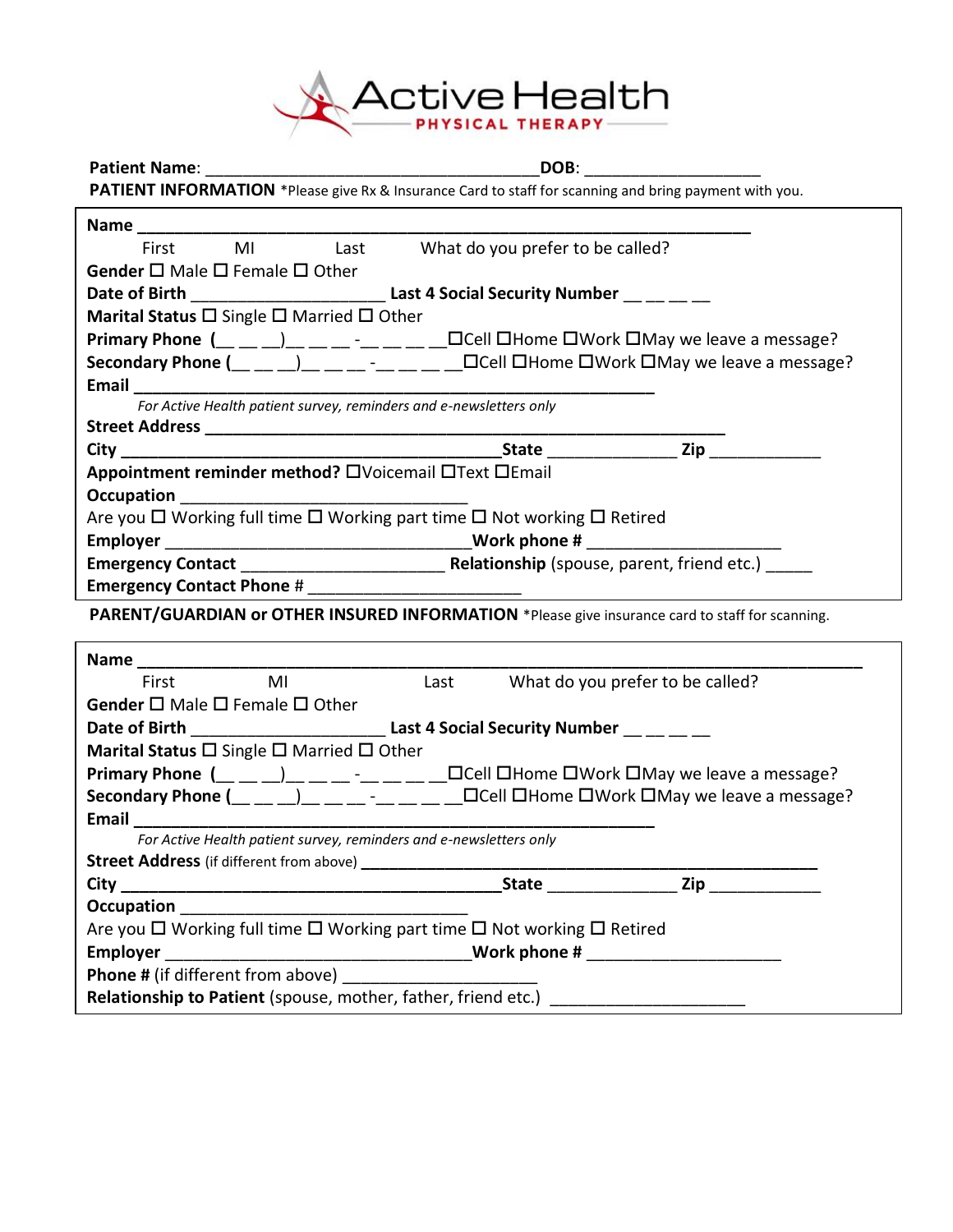

| <b>Patient Name:</b>                                                                     | DOB:                                                                                                   |
|------------------------------------------------------------------------------------------|--------------------------------------------------------------------------------------------------------|
|                                                                                          | PATIENT INFORMATION *Please give Rx & Insurance Card to staff for scanning and bring payment with you. |
|                                                                                          |                                                                                                        |
| First MI Last What do you prefer to be called?                                           |                                                                                                        |
| <b>Gender</b> $\square$ Male $\square$ Female $\square$ Other                            |                                                                                                        |
| Date of Birth _________________________________Last 4 Social Security Number __ __ __ __ |                                                                                                        |
| Marital Status $\square$ Single $\square$ Married $\square$ Other                        |                                                                                                        |
|                                                                                          |                                                                                                        |
|                                                                                          |                                                                                                        |
|                                                                                          |                                                                                                        |
| For Active Health patient survey, reminders and e-newsletters only                       |                                                                                                        |
|                                                                                          |                                                                                                        |
|                                                                                          |                                                                                                        |
| Appointment reminder method? OVoicemail OText OEmail                                     |                                                                                                        |
|                                                                                          |                                                                                                        |
| Are you □ Working full time □ Working part time □ Not working □ Retired                  |                                                                                                        |
|                                                                                          |                                                                                                        |
|                                                                                          |                                                                                                        |
| <b>Emergency Contact Phone #</b>                                                         |                                                                                                        |
|                                                                                          | PARENT/GUARDIAN or OTHER INSURED INFORMATION *Please give insurance card to staff for scanning.        |
|                                                                                          |                                                                                                        |
|                                                                                          |                                                                                                        |
|                                                                                          |                                                                                                        |
| <b>Name</b><br>First MI Last                                                             | Last What do you prefer to be called?                                                                  |
| Gender $\square$ Male $\square$ Female $\square$ Other                                   |                                                                                                        |
|                                                                                          |                                                                                                        |
| Marital Status $\square$ Single $\square$ Married $\square$ Other                        |                                                                                                        |
|                                                                                          |                                                                                                        |
|                                                                                          |                                                                                                        |
| <b>Email</b><br>For Active Health patient survey, reminders and e-newsletters only       |                                                                                                        |
| Street Address (if different from above) ______________                                  |                                                                                                        |
| $City_$                                                                                  | <b>State State Zip</b>                                                                                 |
| Occupation                                                                               |                                                                                                        |
| Are you □ Working full time □ Working part time □ Not working □ Retired                  |                                                                                                        |
| <b>Employer</b>                                                                          |                                                                                                        |
| Phone # (if different from above)                                                        |                                                                                                        |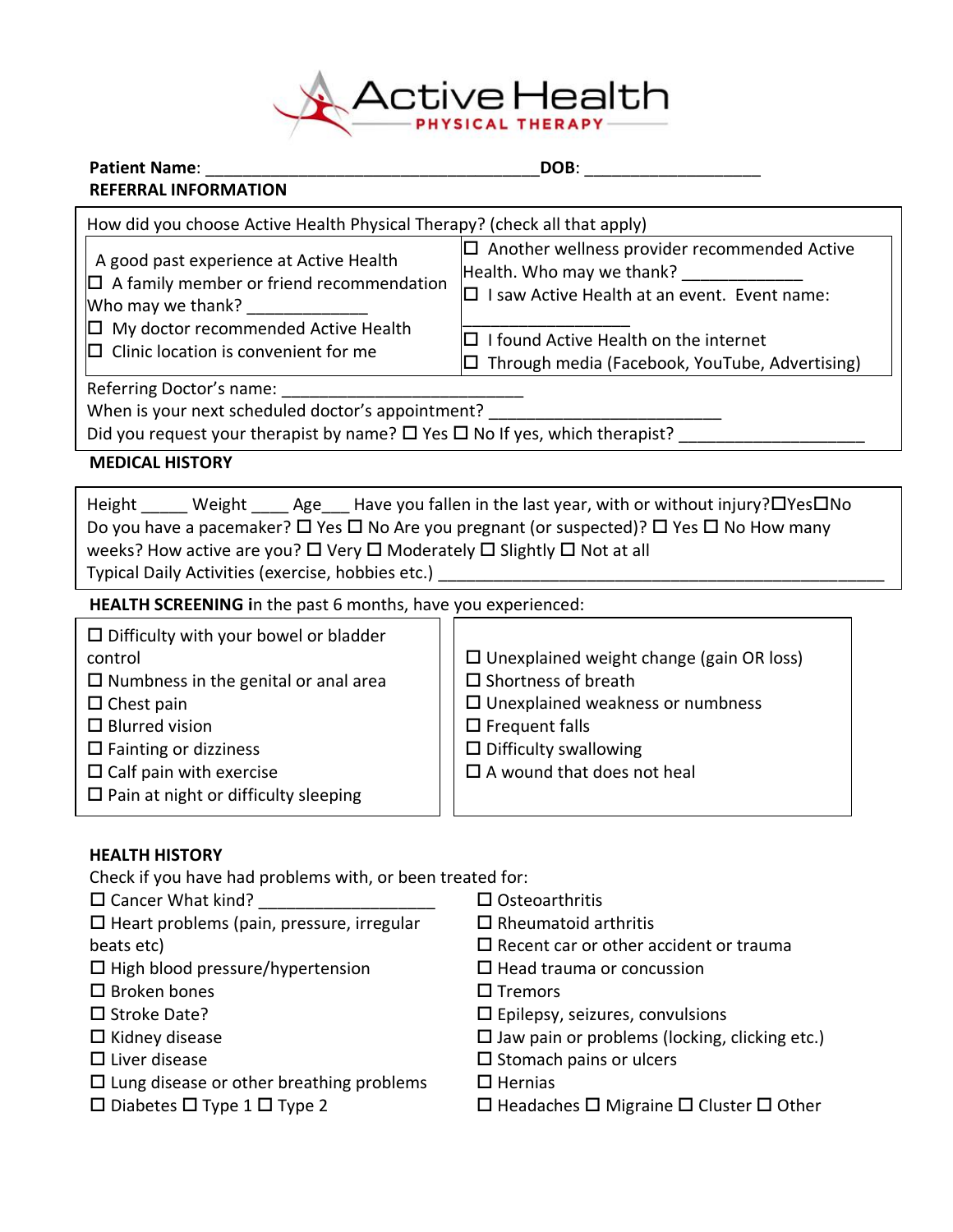

| <b>Patient Name:</b>                                                                                                                                                                                                                                                              | DOB:                                                                                                                                                                                                                               |
|-----------------------------------------------------------------------------------------------------------------------------------------------------------------------------------------------------------------------------------------------------------------------------------|------------------------------------------------------------------------------------------------------------------------------------------------------------------------------------------------------------------------------------|
| <b>REFERRAL INFORMATION</b>                                                                                                                                                                                                                                                       |                                                                                                                                                                                                                                    |
| How did you choose Active Health Physical Therapy? (check all that apply)                                                                                                                                                                                                         |                                                                                                                                                                                                                                    |
| A good past experience at Active Health<br>$\Box$ A family member or friend recommendation<br>Who may we thank?                                                                                                                                                                   | $\square$ Another wellness provider recommended Active<br>Health. Who may we thank?<br>□ I saw Active Health at an event. Event name:                                                                                              |
| $\Box$ My doctor recommended Active Health<br>$\square$ Clinic location is convenient for me                                                                                                                                                                                      | $\Box$ I found Active Health on the internet<br>$\Box$ Through media (Facebook, YouTube, Advertising)                                                                                                                              |
| Referring Doctor's name:<br>When is your next scheduled doctor's appointment?<br>Did you request your therapist by name? $\square$ Yes $\square$ No If yes, which therapist?                                                                                                      |                                                                                                                                                                                                                                    |
| <b>MEDICAL HISTORY</b>                                                                                                                                                                                                                                                            |                                                                                                                                                                                                                                    |
| weeks? How active are you? □ Very □ Moderately □ Slightly □ Not at all<br>Typical Daily Activities (exercise, hobbies etc.)                                                                                                                                                       | Height Weight Age Have you fallen in the last year, with or without injury?□Yes□No<br>Do you have a pacemaker? $\Box$ Yes $\Box$ No Are you pregnant (or suspected)? $\Box$ Yes $\Box$ No How many                                 |
| HEALTH SCREENING in the past 6 months, have you experienced:                                                                                                                                                                                                                      |                                                                                                                                                                                                                                    |
| $\square$ Difficulty with your bowel or bladder<br>control<br>$\square$ Numbness in the genital or anal area<br>$\Box$ Chest pain<br>$\Box$ Blurred vision<br>$\square$ Fainting or dizziness<br>$\Box$ Calf pain with exercise<br>$\square$ Pain at night or difficulty sleeping | $\Box$ Unexplained weight change (gain OR loss)<br>$\square$ Shortness of breath<br>$\square$ Unexplained weakness or numbness<br>$\square$ Frequent falls<br>$\square$ Difficulty swallowing<br>$\Box$ A wound that does not heal |
| <b>HEALTH HISTORY</b><br>Check if you have had problems with, or been treated for:<br>$\Box$ Cancer What kind?<br><u> 1980 - Johann Barn, mars eta bainar eta i</u><br>$\Box$ Heart problems (pain, pressure, irregular<br>beats etc)                                             | $\square$ Osteoarthritis<br>$\Box$ Rheumatoid arthritis<br>$\square$ Recent car or other accident or trauma                                                                                                                        |

 $\square$  High blood pressure/hypertension

- $\square$  Broken bones
- $\square$  Stroke Date?
- $\square$  Kidney disease
- $\square$  Liver disease
- $\square$  Lung disease or other breathing problems
- $\square$  Diabetes  $\square$  Type 1  $\square$  Type 2
- $\Box$  Recent car or other accident or trauma
- $\Box$  Head trauma or concussion
	- $\square$  Tremors
	- $\square$  Epilepsy, seizures, convulsions
	- $\square$  Jaw pain or problems (locking, clicking etc.)
	- $\square$  Stomach pains or ulcers
	- $\square$  Hernias
	- $\square$  Headaches  $\square$  Migraine  $\square$  Cluster  $\square$  Other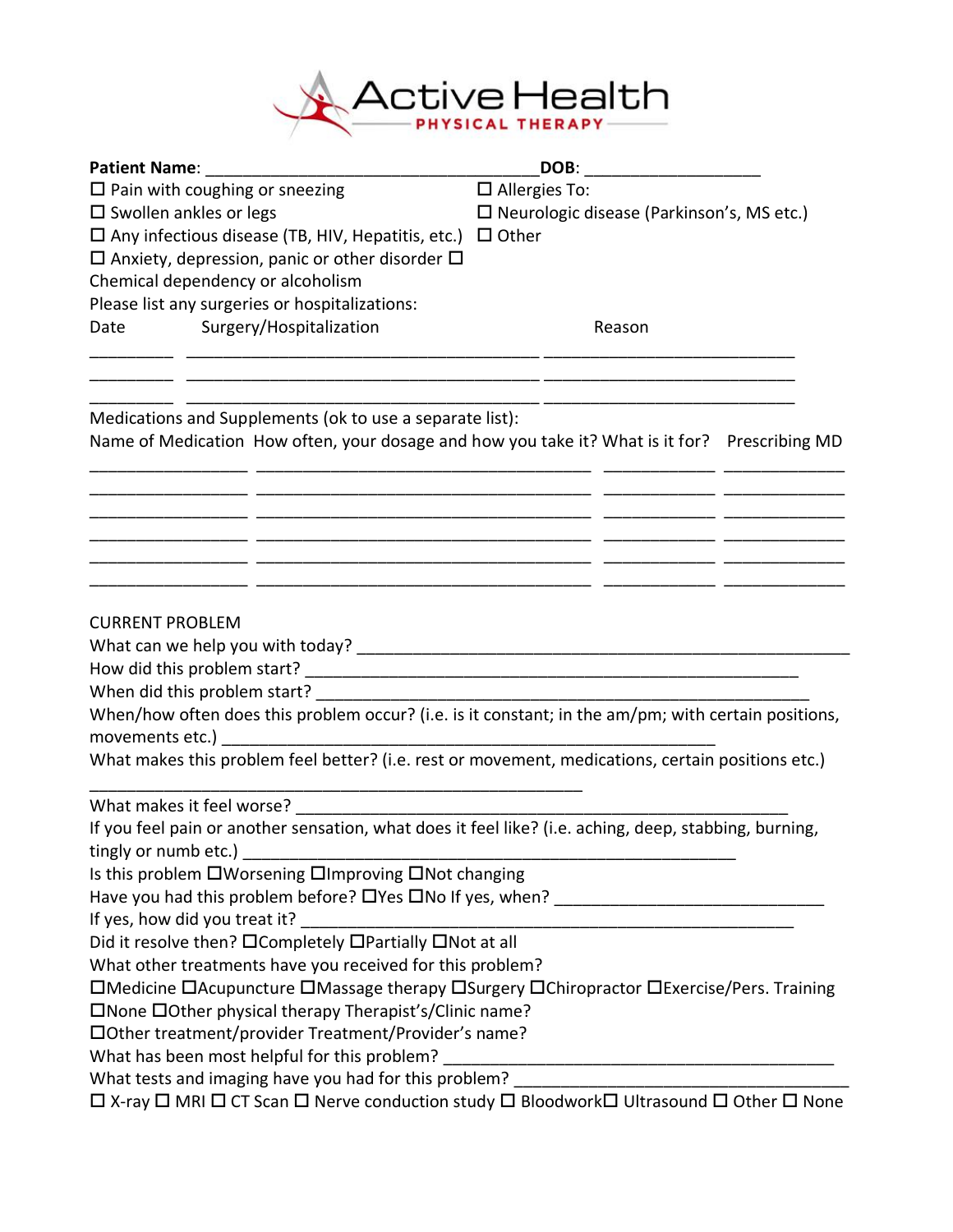

| <b>Patient Name:</b>                                                                                                                             | DOB:                                                                                               |  |
|--------------------------------------------------------------------------------------------------------------------------------------------------|----------------------------------------------------------------------------------------------------|--|
| $\Box$ Pain with coughing or sneezing                                                                                                            | $\square$ Allergies To:                                                                            |  |
| $\square$ Swollen ankles or legs                                                                                                                 | $\square$ Neurologic disease (Parkinson's, MS etc.)                                                |  |
| $\square$ Any infectious disease (TB, HIV, Hepatitis, etc.)                                                                                      | $\Box$ Other                                                                                       |  |
| $\Box$ Anxiety, depression, panic or other disorder $\Box$                                                                                       |                                                                                                    |  |
| Chemical dependency or alcoholism                                                                                                                |                                                                                                    |  |
| Please list any surgeries or hospitalizations:                                                                                                   |                                                                                                    |  |
| Surgery/Hospitalization<br><b>Date</b>                                                                                                           | Reason                                                                                             |  |
| Medications and Supplements (ok to use a separate list):                                                                                         |                                                                                                    |  |
| Name of Medication How often, your dosage and how you take it? What is it for? Prescribing MD                                                    |                                                                                                    |  |
|                                                                                                                                                  | — — — — — — — — — — — — — — —<br><u> 1999 - Johann John Stone, mars and deutscher Stone (1999)</u> |  |
| <b>CURRENT PROBLEM</b>                                                                                                                           |                                                                                                    |  |
|                                                                                                                                                  |                                                                                                    |  |
| When did this problem start?                                                                                                                     |                                                                                                    |  |
| When/how often does this problem occur? (i.e. is it constant; in the am/pm; with certain positions,                                              |                                                                                                    |  |
|                                                                                                                                                  |                                                                                                    |  |
| What makes this problem feel better? (i.e. rest or movement, medications, certain positions etc.)                                                |                                                                                                    |  |
| What makes it feel worse?                                                                                                                        |                                                                                                    |  |
| If you feel pain or another sensation, what does it feel like? (i.e. aching, deep, stabbing, burning,                                            |                                                                                                    |  |
| tingly or numb etc.)                                                                                                                             |                                                                                                    |  |
| Is this problem OWorsening OImproving ONot changing                                                                                              |                                                                                                    |  |
| Have you had this problem before? O'Yes ONo If yes, when? ______________________                                                                 |                                                                                                    |  |
| If yes, how did you treat it?                                                                                                                    |                                                                                                    |  |
| Did it resolve then? OCompletely OPartially ONot at all                                                                                          |                                                                                                    |  |
| What other treatments have you received for this problem?                                                                                        |                                                                                                    |  |
| □Medicine □Acupuncture □Massage therapy □Surgery □Chiropractor □Exercise/Pers. Training                                                          |                                                                                                    |  |
| □None □Other physical therapy Therapist's/Clinic name?                                                                                           |                                                                                                    |  |
| □ Other treatment/provider Treatment/Provider's name?                                                                                            |                                                                                                    |  |
| What has been most helpful for this problem?                                                                                                     |                                                                                                    |  |
| What tests and imaging have you had for this problem?<br>□ X-ray □ MRI □ CT Scan □ Nerve conduction study □ Bloodwork□ Ultrasound □ Other □ None |                                                                                                    |  |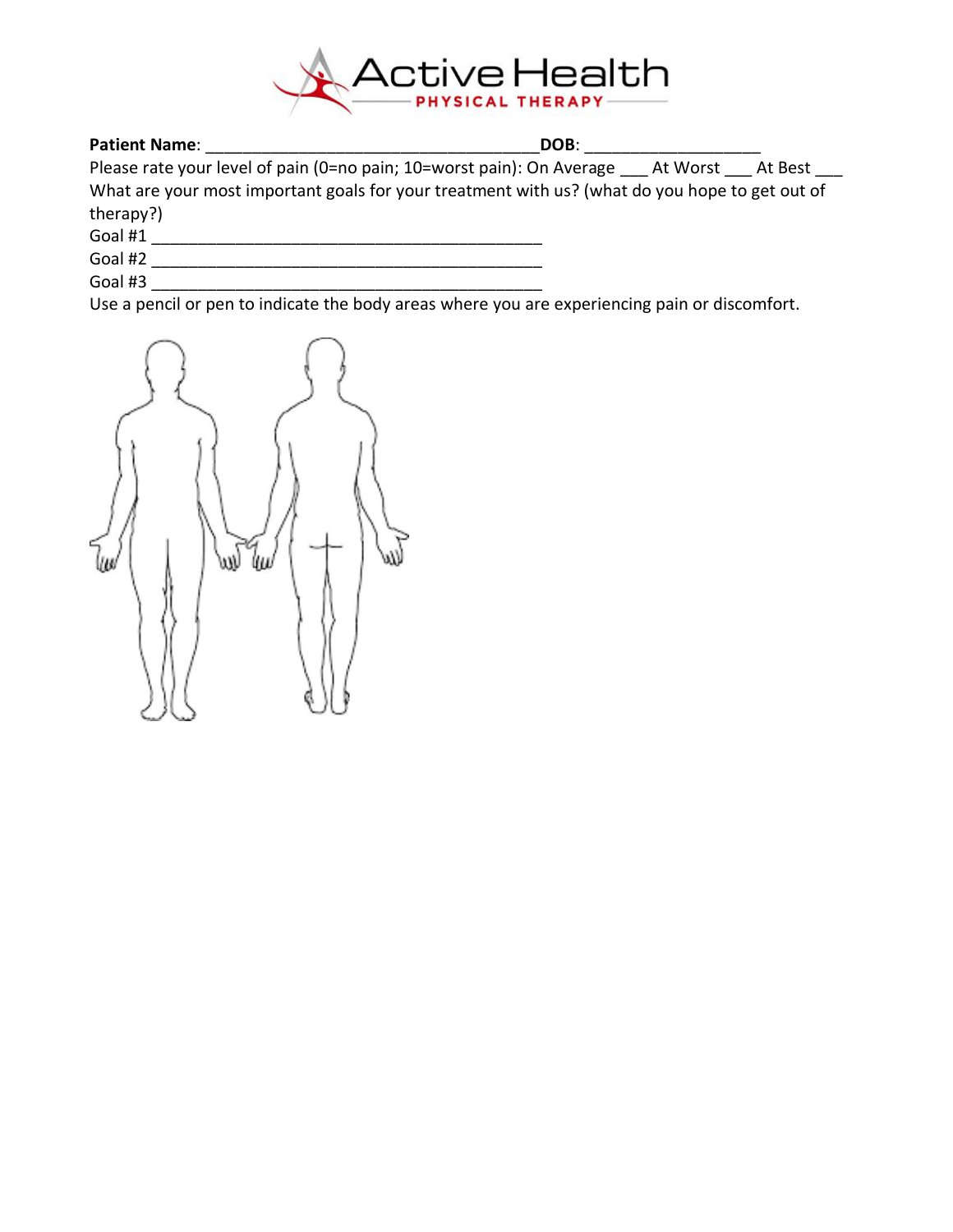

# **Patient Name**: \_\_\_\_\_\_\_\_\_\_\_\_\_\_\_\_\_\_\_\_\_\_\_\_\_\_\_\_\_\_\_\_\_\_\_\_**DOB**: \_\_\_\_\_\_\_\_\_\_\_\_\_\_\_\_\_\_\_

Please rate your level of pain (0=no pain; 10=worst pain): On Average \_\_\_ At Worst \_\_\_ At Best \_\_\_ What are your most important goals for your treatment with us? (what do you hope to get out of therapy?)

Goal #1 \_\_\_\_\_\_\_\_\_\_\_\_\_\_\_\_\_\_\_\_\_\_\_\_\_\_\_\_\_\_\_\_\_\_\_\_\_\_\_\_\_\_

Goal #2 \_\_\_\_\_\_\_\_\_\_\_\_\_\_\_\_\_\_\_\_\_\_\_\_\_\_\_\_\_\_\_\_\_\_\_\_\_\_\_\_\_\_ Goal #3 \_\_\_\_\_\_\_\_\_\_\_\_\_\_\_\_\_\_\_\_\_\_\_\_\_\_\_\_\_\_\_\_\_\_\_\_\_\_\_\_\_\_

Use a pencil or pen to indicate the body areas where you are experiencing pain or discomfort.

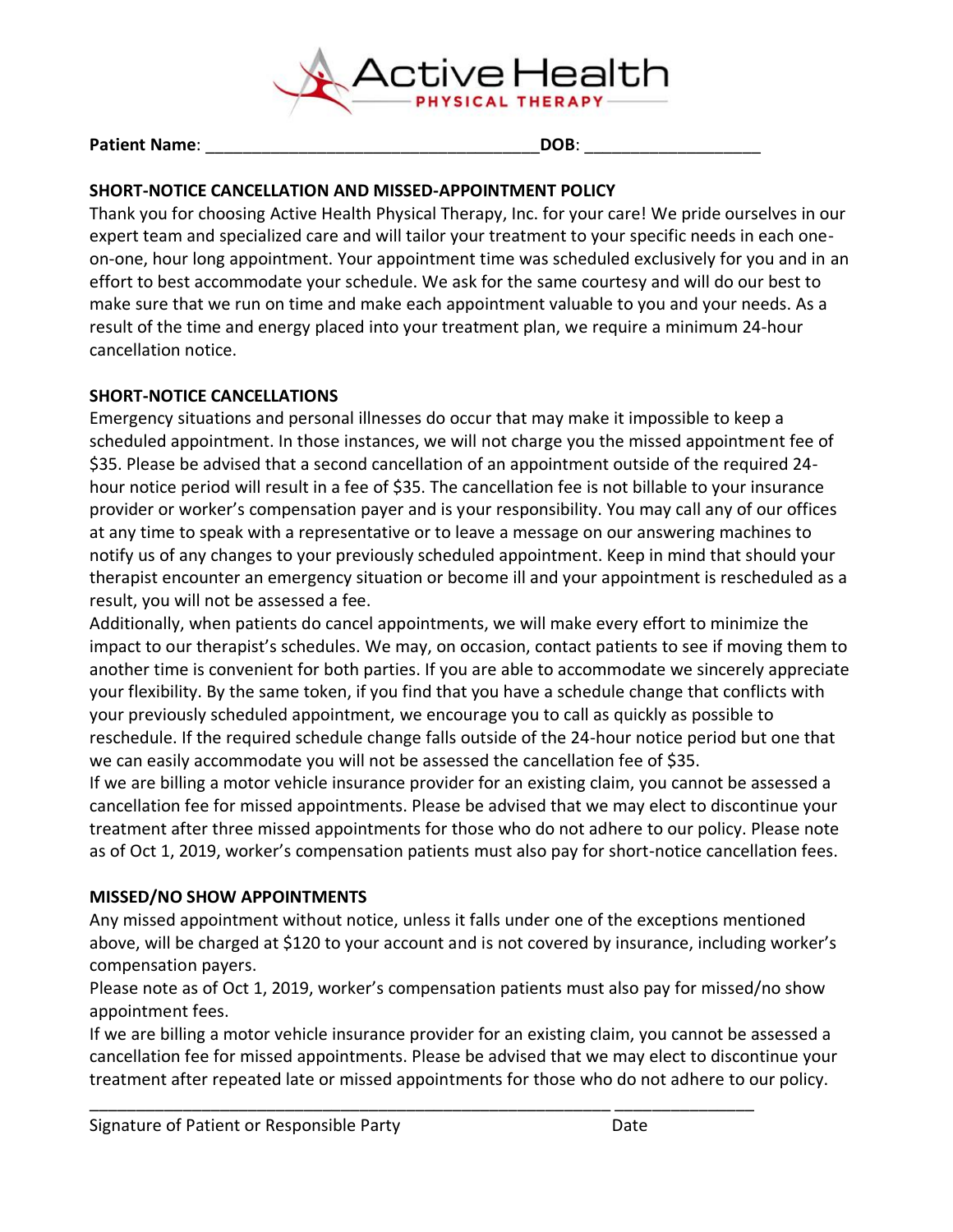

|  | <b>Patient Name:</b> | DOB. |
|--|----------------------|------|
|--|----------------------|------|

### **SHORT-NOTICE CANCELLATION AND MISSED-APPOINTMENT POLICY**

Thank you for choosing Active Health Physical Therapy, Inc. for your care! We pride ourselves in our expert team and specialized care and will tailor your treatment to your specific needs in each oneon-one, hour long appointment. Your appointment time was scheduled exclusively for you and in an effort to best accommodate your schedule. We ask for the same courtesy and will do our best to make sure that we run on time and make each appointment valuable to you and your needs. As a result of the time and energy placed into your treatment plan, we require a minimum 24-hour cancellation notice.

#### **SHORT-NOTICE CANCELLATIONS**

Emergency situations and personal illnesses do occur that may make it impossible to keep a scheduled appointment. In those instances, we will not charge you the missed appointment fee of \$35. Please be advised that a second cancellation of an appointment outside of the required 24 hour notice period will result in a fee of \$35. The cancellation fee is not billable to your insurance provider or worker's compensation payer and is your responsibility. You may call any of our offices at any time to speak with a representative or to leave a message on our answering machines to notify us of any changes to your previously scheduled appointment. Keep in mind that should your therapist encounter an emergency situation or become ill and your appointment is rescheduled as a result, you will not be assessed a fee.

Additionally, when patients do cancel appointments, we will make every effort to minimize the impact to our therapist's schedules. We may, on occasion, contact patients to see if moving them to another time is convenient for both parties. If you are able to accommodate we sincerely appreciate your flexibility. By the same token, if you find that you have a schedule change that conflicts with your previously scheduled appointment, we encourage you to call as quickly as possible to reschedule. If the required schedule change falls outside of the 24-hour notice period but one that we can easily accommodate you will not be assessed the cancellation fee of \$35.

If we are billing a motor vehicle insurance provider for an existing claim, you cannot be assessed a cancellation fee for missed appointments. Please be advised that we may elect to discontinue your treatment after three missed appointments for those who do not adhere to our policy. Please note as of Oct 1, 2019, worker's compensation patients must also pay for short-notice cancellation fees.

## **MISSED/NO SHOW APPOINTMENTS**

Any missed appointment without notice, unless it falls under one of the exceptions mentioned above, will be charged at \$120 to your account and is not covered by insurance, including worker's compensation payers.

Please note as of Oct 1, 2019, worker's compensation patients must also pay for missed/no show appointment fees.

If we are billing a motor vehicle insurance provider for an existing claim, you cannot be assessed a cancellation fee for missed appointments. Please be advised that we may elect to discontinue your treatment after repeated late or missed appointments for those who do not adhere to our policy.

\_\_\_\_\_\_\_\_\_\_\_\_\_\_\_\_\_\_\_\_\_\_\_\_\_\_\_\_\_\_\_\_\_\_\_\_\_\_\_\_\_\_\_\_\_\_\_\_\_\_\_\_\_\_\_\_ \_\_\_\_\_\_\_\_\_\_\_\_\_\_\_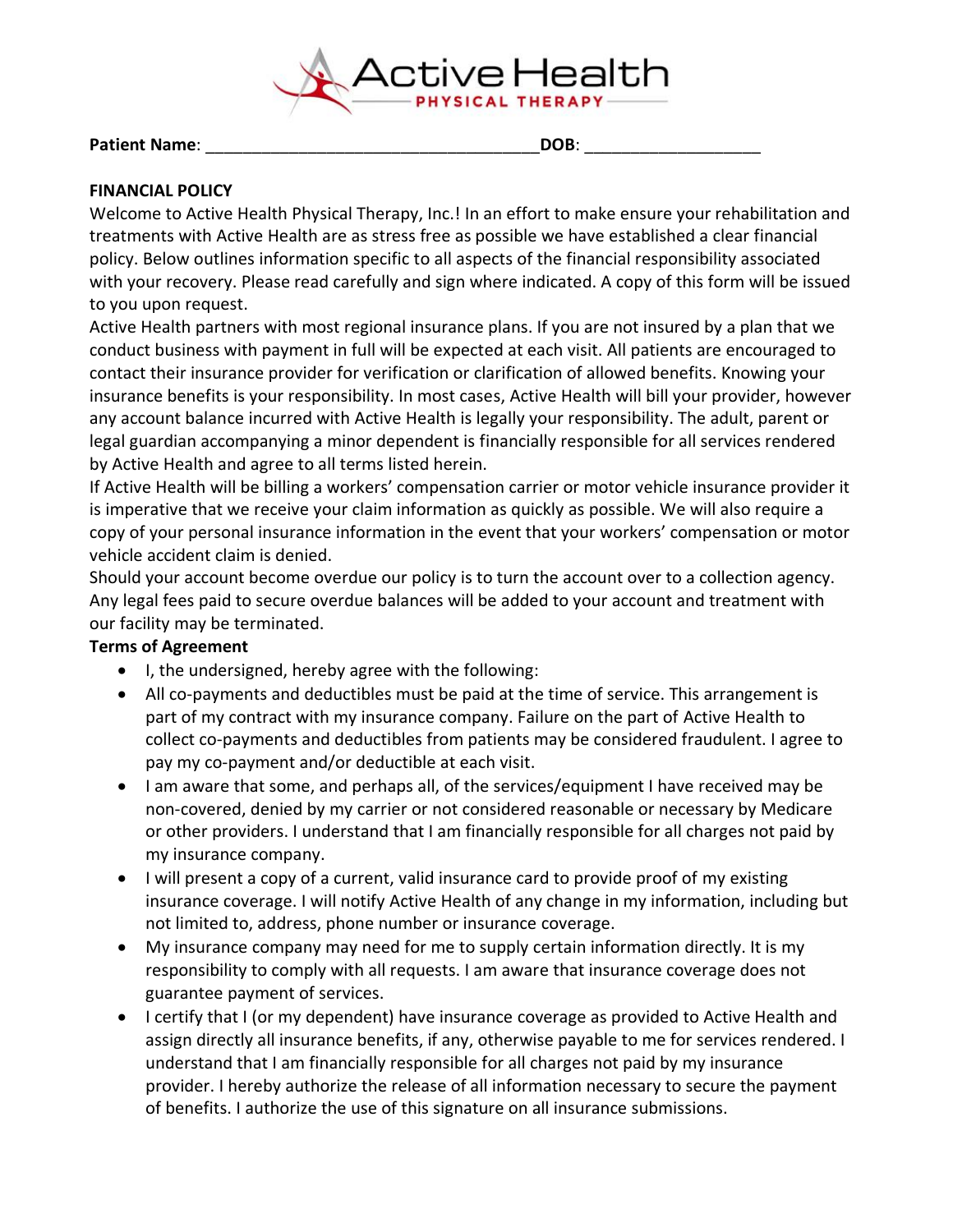

Patient Name: **DOB**:

### **FINANCIAL POLICY**

Welcome to Active Health Physical Therapy, Inc.! In an effort to make ensure your rehabilitation and treatments with Active Health are as stress free as possible we have established a clear financial policy. Below outlines information specific to all aspects of the financial responsibility associated with your recovery. Please read carefully and sign where indicated. A copy of this form will be issued to you upon request.

Active Health partners with most regional insurance plans. If you are not insured by a plan that we conduct business with payment in full will be expected at each visit. All patients are encouraged to contact their insurance provider for verification or clarification of allowed benefits. Knowing your insurance benefits is your responsibility. In most cases, Active Health will bill your provider, however any account balance incurred with Active Health is legally your responsibility. The adult, parent or legal guardian accompanying a minor dependent is financially responsible for all services rendered by Active Health and agree to all terms listed herein.

If Active Health will be billing a workers' compensation carrier or motor vehicle insurance provider it is imperative that we receive your claim information as quickly as possible. We will also require a copy of your personal insurance information in the event that your workers' compensation or motor vehicle accident claim is denied.

Should your account become overdue our policy is to turn the account over to a collection agency. Any legal fees paid to secure overdue balances will be added to your account and treatment with our facility may be terminated.

## **Terms of Agreement**

- I, the undersigned, hereby agree with the following:
- All co-payments and deductibles must be paid at the time of service. This arrangement is part of my contract with my insurance company. Failure on the part of Active Health to collect co-payments and deductibles from patients may be considered fraudulent. I agree to pay my co-payment and/or deductible at each visit.
- I am aware that some, and perhaps all, of the services/equipment I have received may be non-covered, denied by my carrier or not considered reasonable or necessary by Medicare or other providers. I understand that I am financially responsible for all charges not paid by my insurance company.
- I will present a copy of a current, valid insurance card to provide proof of my existing insurance coverage. I will notify Active Health of any change in my information, including but not limited to, address, phone number or insurance coverage.
- My insurance company may need for me to supply certain information directly. It is my responsibility to comply with all requests. I am aware that insurance coverage does not guarantee payment of services.
- I certify that I (or my dependent) have insurance coverage as provided to Active Health and assign directly all insurance benefits, if any, otherwise payable to me for services rendered. I understand that I am financially responsible for all charges not paid by my insurance provider. I hereby authorize the release of all information necessary to secure the payment of benefits. I authorize the use of this signature on all insurance submissions.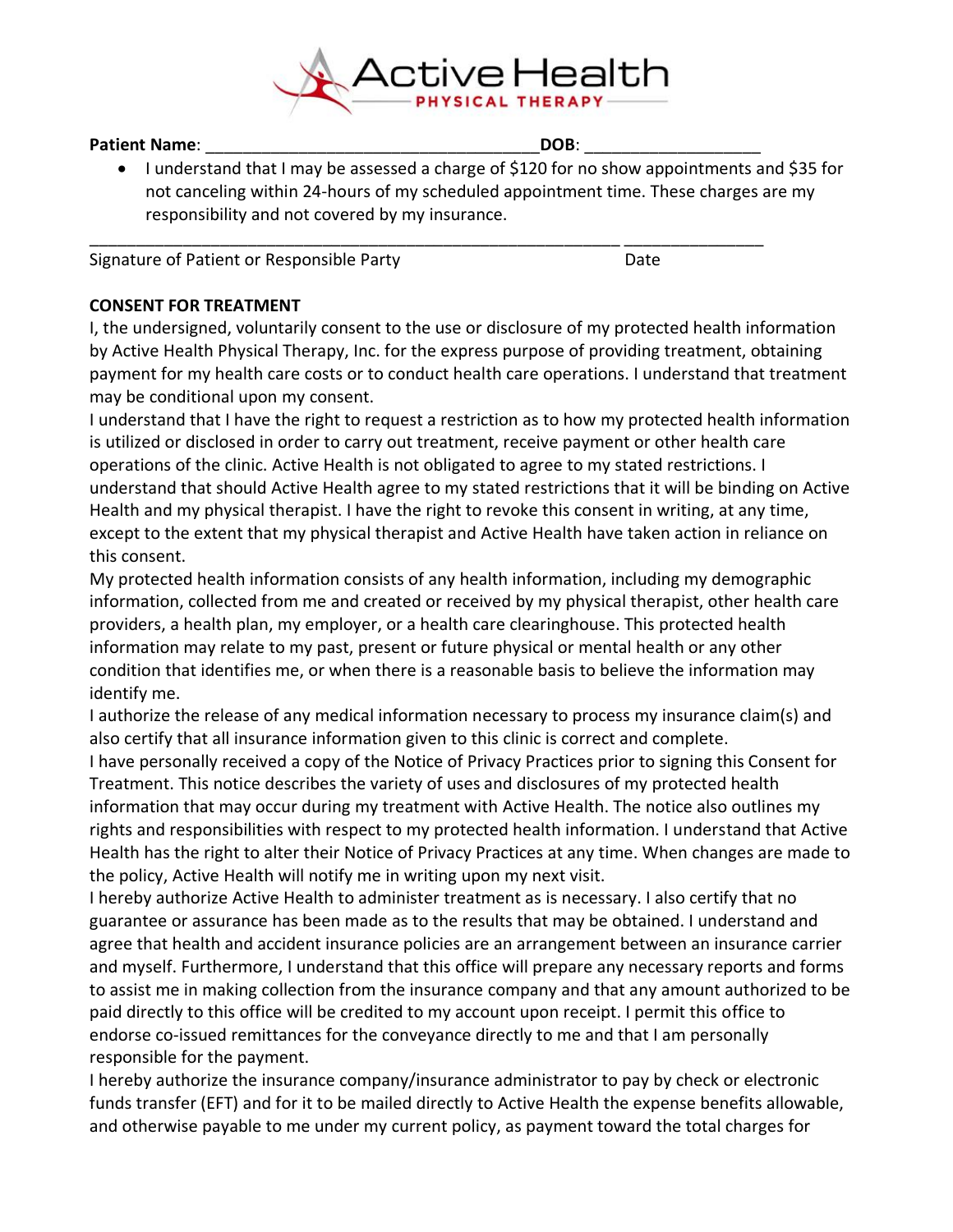

Patient Name: **We are all that the set of the set of the SOB**: **DOB**:

• I understand that I may be assessed a charge of \$120 for no show appointments and \$35 for not canceling within 24-hours of my scheduled appointment time. These charges are my responsibility and not covered by my insurance.

\_\_\_\_\_\_\_\_\_\_\_\_\_\_\_\_\_\_\_\_\_\_\_\_\_\_\_\_\_\_\_\_\_\_\_\_\_\_\_\_\_\_\_\_\_\_\_\_\_\_\_\_\_\_\_\_\_ \_\_\_\_\_\_\_\_\_\_\_\_\_\_\_

Signature of Patient or Responsible Party **Example 2018** Date

### **CONSENT FOR TREATMENT**

I, the undersigned, voluntarily consent to the use or disclosure of my protected health information by Active Health Physical Therapy, Inc. for the express purpose of providing treatment, obtaining payment for my health care costs or to conduct health care operations. I understand that treatment may be conditional upon my consent.

I understand that I have the right to request a restriction as to how my protected health information is utilized or disclosed in order to carry out treatment, receive payment or other health care operations of the clinic. Active Health is not obligated to agree to my stated restrictions. I understand that should Active Health agree to my stated restrictions that it will be binding on Active Health and my physical therapist. I have the right to revoke this consent in writing, at any time, except to the extent that my physical therapist and Active Health have taken action in reliance on this consent.

My protected health information consists of any health information, including my demographic information, collected from me and created or received by my physical therapist, other health care providers, a health plan, my employer, or a health care clearinghouse. This protected health information may relate to my past, present or future physical or mental health or any other condition that identifies me, or when there is a reasonable basis to believe the information may identify me.

I authorize the release of any medical information necessary to process my insurance claim(s) and also certify that all insurance information given to this clinic is correct and complete.

I have personally received a copy of the Notice of Privacy Practices prior to signing this Consent for Treatment. This notice describes the variety of uses and disclosures of my protected health information that may occur during my treatment with Active Health. The notice also outlines my rights and responsibilities with respect to my protected health information. I understand that Active Health has the right to alter their Notice of Privacy Practices at any time. When changes are made to the policy, Active Health will notify me in writing upon my next visit.

I hereby authorize Active Health to administer treatment as is necessary. I also certify that no guarantee or assurance has been made as to the results that may be obtained. I understand and agree that health and accident insurance policies are an arrangement between an insurance carrier and myself. Furthermore, I understand that this office will prepare any necessary reports and forms to assist me in making collection from the insurance company and that any amount authorized to be paid directly to this office will be credited to my account upon receipt. I permit this office to endorse co-issued remittances for the conveyance directly to me and that I am personally responsible for the payment.

I hereby authorize the insurance company/insurance administrator to pay by check or electronic funds transfer (EFT) and for it to be mailed directly to Active Health the expense benefits allowable, and otherwise payable to me under my current policy, as payment toward the total charges for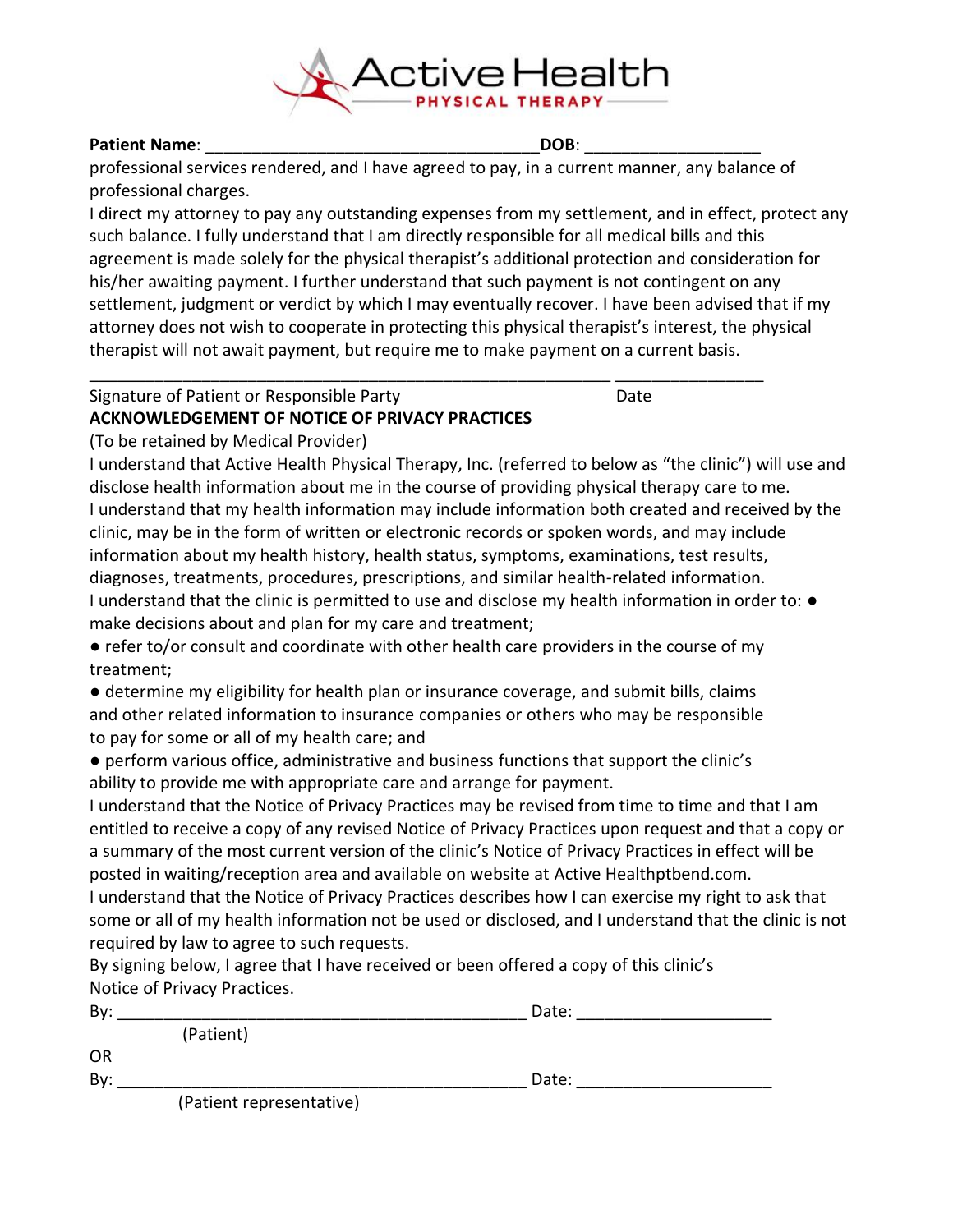

#### Patient Name: **We are all that**  $\blacksquare$  **DOB**:  $\blacksquare$

professional services rendered, and I have agreed to pay, in a current manner, any balance of professional charges.

\_\_\_\_\_\_\_\_\_\_\_\_\_\_\_\_\_\_\_\_\_\_\_\_\_\_\_\_\_\_\_\_\_\_\_\_\_\_\_\_\_\_\_\_\_\_\_\_\_\_\_\_\_\_\_\_ \_\_\_\_\_\_\_\_\_\_\_\_\_\_\_\_

I direct my attorney to pay any outstanding expenses from my settlement, and in effect, protect any such balance. I fully understand that I am directly responsible for all medical bills and this agreement is made solely for the physical therapist's additional protection and consideration for his/her awaiting payment. I further understand that such payment is not contingent on any settlement, judgment or verdict by which I may eventually recover. I have been advised that if my attorney does not wish to cooperate in protecting this physical therapist's interest, the physical therapist will not await payment, but require me to make payment on a current basis.

# Signature of Patient or Responsible Party **Example 20** Date **ACKNOWLEDGEMENT OF NOTICE OF PRIVACY PRACTICES**

(To be retained by Medical Provider)

I understand that Active Health Physical Therapy, Inc. (referred to below as "the clinic") will use and disclose health information about me in the course of providing physical therapy care to me. I understand that my health information may include information both created and received by the clinic, may be in the form of written or electronic records or spoken words, and may include information about my health history, health status, symptoms, examinations, test results, diagnoses, treatments, procedures, prescriptions, and similar health-related information. I understand that the clinic is permitted to use and disclose my health information in order to:  $\bullet$ make decisions about and plan for my care and treatment;

● refer to/or consult and coordinate with other health care providers in the course of my treatment;

● determine my eligibility for health plan or insurance coverage, and submit bills, claims and other related information to insurance companies or others who may be responsible to pay for some or all of my health care; and

● perform various office, administrative and business functions that support the clinic's ability to provide me with appropriate care and arrange for payment.

I understand that the Notice of Privacy Practices may be revised from time to time and that I am entitled to receive a copy of any revised Notice of Privacy Practices upon request and that a copy or a summary of the most current version of the clinic's Notice of Privacy Practices in effect will be posted in waiting/reception area and available on website at Active Healthptbend.com.

I understand that the Notice of Privacy Practices describes how I can exercise my right to ask that some or all of my health information not be used or disclosed, and I understand that the clinic is not required by law to agree to such requests.

By signing below, I agree that I have received or been offered a copy of this clinic's Notice of Privacy Practices.

| Bv: |                          | Date: |  |
|-----|--------------------------|-------|--|
|     | (Patient)                |       |  |
| OR  |                          |       |  |
| By: |                          | Date: |  |
|     | (Patient representative) |       |  |